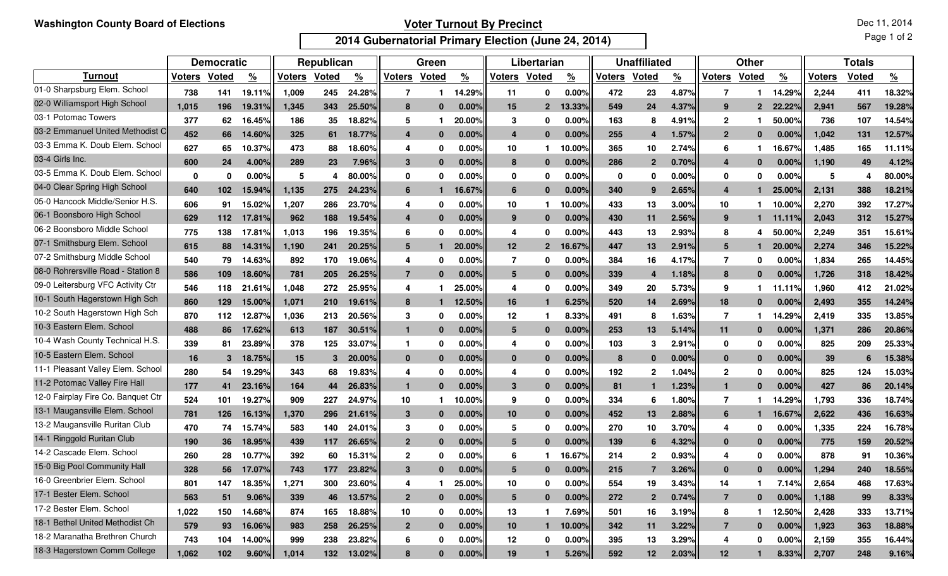## **Voter Turnout By Precinct**

**2014 Gubernatorial Primary Election (June 24, 2014)**

|                                    | <b>Democratic</b> |              |                    | Republican |              |               | Green          |          |               | Libertarian     |                |               | <b>Unaffiliated</b> |                |                       | <b>Other</b>   |              |               | <b>Totals</b> |              |               |
|------------------------------------|-------------------|--------------|--------------------|------------|--------------|---------------|----------------|----------|---------------|-----------------|----------------|---------------|---------------------|----------------|-----------------------|----------------|--------------|---------------|---------------|--------------|---------------|
| <b>Turnout</b>                     | <b>Voters</b>     | <b>Voted</b> | $\frac{9}{6}$      | Voters     | <b>Voted</b> | $\frac{9}{6}$ | <b>Voters</b>  | Voted    | $\frac{9}{6}$ | <b>Voters</b>   | <b>Voted</b>   | $\frac{9}{6}$ | <b>Voters</b>       | <b>Voted</b>   | $\frac{\%}{\sqrt{2}}$ | <b>Voters</b>  | Voted        | $\frac{9}{6}$ | <b>Voters</b> | <b>Voted</b> | $\frac{9}{6}$ |
| 01-0 Sharpsburg Elem. School       | 738               | 141          | 19.11%             | 1,009      | 245          | 24.28%        | 7              |          | 14.29%        | 11              | 0              | 0.00%         | 472                 | 23             | 4.87%                 |                |              | 14.29%        | 2,244         | 411          | 18.32%        |
| 02-0 Williamsport High School      | 1.015             | 196          | 19.31%             | 1,345      | 343          | 25.50%        | 8              |          | 0.00%         | 15              | $\overline{2}$ | 13.33%        | 549                 | 24             | 4.37%                 | 9              | $\mathbf{p}$ | 22.22%        | 2.941         | 567          | 19.28%        |
| 03-1 Potomac Towers                | 377               | 62           | 16.45 <sup>°</sup> | 186        | 35           | 18.82%        | 5              |          | 20.00%        | 3               | 0              | 0.00%         | 163                 | 8              | 4.91%                 | $\mathbf{2}$   |              | 50.00%        | 736           | 107          | 14.54%        |
| 03-2 Emmanuel United Methodist C   | 452               | 66           | 14.60%             | 325        | 61           | 18.77%        | 4              | - 0      | 0.00%         | 4               | $\bf{0}$       | 0.00%         | 255                 | 4              | 1.57%                 | $\mathbf{2}$   | $\Omega$     | 0.00%         | 1.042         | 131          | 12.57%        |
| 03-3 Emma K. Doub Elem. School     | 627               | 65           | 10.37%             | 473        | 88           | 18.60%        | 4              | 0        | 0.00%         | 10              |                | 10.00%        | 365                 | 10             | 2.74%                 | 6              |              | 16.67%        | 1,485         | 165          | 11.11%        |
| 03-4 Girls Inc.                    | 600               | 24           | 4.00%              | 289        | 23           | 7.96%         | 3              | -0       | 0.00%         | 8               | $\bf{0}$       | 0.00%         | 286                 | $\overline{2}$ | 0.70%                 | 4              | $\mathbf{0}$ | 0.00%         | 1,190         | 49           | 4.12%         |
| 03-5 Emma K. Doub Elem. School     | $\mathbf{0}$      | 0            | 0.00%              | 5          |              | 80.00%        | 0              | 0        | 0.00%         | 0               | 0              | 0.00%         | $\mathbf 0$         | 0              | 0.00%                 | 0              | -0           | 0.00%         | 5             |              | 80.00%        |
| 04-0 Clear Spring High School      | 640               | 102          | 15.94%             | 1,135      | 275          | 24.23%        | 6              |          | 16.67%        | 6               | 0              | 0.00%         | 340                 | 9              | 2.65%                 | 4              |              | 25.00%        | 2,131         | 388          | 18.21%        |
| 05-0 Hancock Middle/Senior H.S.    | 606               | 91           | 15.02%             | 1,207      | 286          | 23.70%        | 4              | 0        | 0.00%         | 10              |                | 10.00%        | 433                 | 13             | 3.00%                 | 10             |              | 10.00%        | 2,270         | 392          | 17.27%        |
| 06-1 Boonsboro High School         | 629               | 112          | 17.81%             | 962        | 188          | 19.54%        | 4              |          | $0.00\%$      | 9               | $\Omega$       | $0.00\%$      | 430                 | 11             | 2.56%                 | 9              |              | 11.11%        | 2,043         | 312          | 15.27%        |
| 06-2 Boonsboro Middle School       | 775               | 138          | 17.81%             | 1,013      | 196          | 19.35%        | 6              | 0        | 0.00%         | 4               | 0              | 0.00%         | 443                 | 13             | 2.93%                 | 8              | 4            | 50.00%        | 2,249         | 351          | 15.61%        |
| 07-1 Smithsburg Elem. School       | 615               | 88           | 14.31%             | 1,190      | 241          | 20.25%        | 5              |          | 20.00%        | 12              | $\overline{2}$ | 16.67%        | 447                 | 13             | 2.91%                 | 5              |              | 20.00%        | 2,274         | 346          | 15.22%        |
| 07-2 Smithsburg Middle School      | 540               | 79           | 14.63%             | 892        | 170          | 19.06%        | 4              | 0        | 0.00%         | 7               | 0              | 0.00%         | 384                 | 16             | 4.17%                 | 7              | 0            | 0.00          | 1,834         | 265          | 14.45%        |
| 08-0 Rohrersville Road - Station 8 | 586               | 109          | 18.60%             | 781        | 205          | 26.25%        | $\overline{7}$ |          | 0.00%l        | 5               | n              | 0.00%         | 339                 | 4              | 1.18%                 | 8              | $\Omega$     | 0.00%         | 1.726         | 318          | 18.42%        |
| 09-0 Leitersburg VFC Activity Ctr  | 546               | 118          | 21.61%             | 1,048      | 272          | 25.95%        | 4              |          | 25.00%        | 4               | 0              | 0.00%         | 349                 | 20             | 5.73%                 | 9              |              | 11.119        | 1,960         | 412          | 21.02%        |
| 10-1 South Hagerstown High Sch     | 860               | 129          | 15.00%             | 1,071      | 210          | 19.61%        | 8              |          | 12.50%        | 16              |                | 6.25%         | 520                 | 14             | 2.69%                 | 18             | $\bf{0}$     | 0.00          | 2,493         | 355          | 14.24%        |
| 10-2 South Hagerstown High Sch     | 870               | 112          | 12.879             | 1,036      | 213          | 20.56%        | 3              | 0        | 0.00%         | 12              |                | 8.33%         | 491                 | 8              | 1.63%                 | 7              |              | 14.29%        | 2,419         | 335          | 13.85%        |
| 10-3 Eastern Elem. School          | 488               | 86           | 17.62%             | 613        | 187          | 30.51%        | $\mathbf{1}$   | 0        | 0.00%         | 5               | $\Omega$       | 0.00%         | 253                 | 13             | 5.14%                 | 11             | 0            | 0.00%         | 1,371         | 286          | 20.86%        |
| 10-4 Wash County Technical H.S.    | 339               | 81           | 23.89%             | 378        | 125          | 33.07%        | -1             | 0        | 0.00%         | 4               | 0              | 0.00%         | 103                 | 3              | 2.91%                 | 0              | 0            | 0.00%         | 825           | 209          | 25.33%        |
| 10-5 Eastern Elem. School          | 16                | 3            | 18.75%             | 15         | 3            | 20.00%        | $\mathbf{0}$   | 0        | 0.00%         | $\mathbf{0}$    | $\Omega$       | 0.00%         | 8                   | $\bf{0}$       | 0.00%                 | $\mathbf{0}$   | $\Omega$     | 0.00%         | 39            |              | 15.38%        |
| 11-1 Pleasant Valley Elem. School  | 280               | 54           | 19.29%             | 343        | 68           | 19.83%        | 4              | 0        | 0.00%         | 4               | 0              | 0.00%         | 192                 | 2              | 1.04%                 | $\mathbf{2}$   | 0            | 0.00%         | 825           | 124          | 15.03%        |
| 11-2 Potomac Valley Fire Hall      | 177               | 41           | 23.16%             | 164        | 44           | 26.83%        | $\mathbf{1}$   | -0       | $0.00\%$      | 3               | $\bf{0}$       | 0.00%         | 81                  | -1             | 1.23%                 | $\mathbf{1}$   | $\Omega$     | 0.00%         | 427           | 86           | 20.14%        |
| 12-0 Fairplay Fire Co. Banquet Ctr | 524               | 101          | 19.27%             | 909        | 227          | 24.97%        | 10             |          | 10.00%        | 9               | 0              | 0.00%         | 334                 | 6              | 1.80%                 | 7              |              | 14.29%        | 1,793         | 336          | 18.74%        |
| 13-1 Maugansville Elem. School     | 781               | 126          | 16.13%             | 1,370      | 296          | 21.61%        | 3              | 0        | 0.00%         | 10              | $\bf{0}$       | 0.00%         | 452                 | 13             | 2.88%                 | 6              |              | 16.67%        | 2,622         | 436          | 16.63%        |
| 13-2 Maugansville Ruritan Club     | 470               | 74           | 15.74%             | 583        | 140          | 24.01%        | 3              | 0        | 0.00%         | 5               | 0              | 0.00%         | 270                 | 10             | 3.70%                 | 4              | 0            | 0.00%         | 1,335         | 224          | 16.78%        |
| 14-1 Ringgold Ruritan Club         | 190               | 36           | 18.95%             | 439        | 117          | 26.65%        | $\overline{2}$ | 0        | 0.00%         | 5               | $\bf{0}$       | 0.00%         | 139                 | 6              | 4.32%                 | $\mathbf{0}$   | $\bf{0}$     | 0.00%         | 775           | 159          | 20.52%        |
| 14-2 Cascade Elem. School          | 260               | 28           | 10.77%             | 392        | 60           | 15.31%        | $\mathbf{2}$   |          | 0.00%         |                 |                | 16.67%        | 214                 | $\overline{2}$ | 0.93%                 |                | 0            | 0.00%         | 878           | 91           | 10.36%        |
| 15-0 Big Pool Community Hall       | 328               | 56           | 17.07%             | 743        | 177          | 23.82%        | 3              |          | 0.00%         |                 |                | 0.00%         | 215                 |                | 3.26%                 | $\mathbf{0}$   | n            | 0.00%         | 1,294         | 240          | 18.55%        |
| 16-0 Greenbrier Elem. School       | 801               | 147          | 18.35%             | 1,271      | 300          | 23.60%        | 4              |          | 25.00%        | 10              | 0              | $0.00\%$      | 554                 | 19             | 3.43%                 | 14             |              | 7.14%         | 2,654         | 468          | 17.63%        |
| 17-1 Bester Elem. School           | 563               | 51           | 9.06%              | 339        | 46           | 13.57%        | $\mathbf{2}$   | $\bf{0}$ | 0.00%         | $5\overline{)}$ | $\bf{0}$       | 0.00%         | 272                 | $\mathbf{2}$   | 0.74%                 | $\overline{7}$ | $\bf{0}$     | 0.00%         | 1,188         | 99           | 8.33%         |
| 17-2 Bester Elem. School           | 1,022             | 150          | 14.68%             | 874        | 165          | 18.88%        | 10             | 0        | 0.00%         | 13              |                | 7.69%         | 501                 | 16             | 3.19%                 | 8              |              | 12.50%        | 2,428         | 333          | 13.71%        |
| 18-1 Bethel United Methodist Ch    | 579               | 93           | 16.06%             | 983        | 258          | 26.25%        | $\overline{2}$ | $\bf{0}$ | 0.00%         | 10              | 1              | 10.00%        | 342                 | 11             | 3.22%                 | $\overline{7}$ | $\mathbf{0}$ | 0.00%         | 1,923         | 363          | 18.88%        |
| 18-2 Maranatha Brethren Church     | 743               | 104          | 14.00%             | 999        | 238          | 23.82%        | 6              | 0        | $0.00\%$      | 12              | 0              | $0.00\%$      | 395                 | 13             | 3.29%                 | 4              | 0            | 0.00%         | 2,159         | 355          | 16.44%        |
| 18-3 Hagerstown Comm College       | 1,062             | 102          | 9.60%              | 1,014      | 132          | 13.02%        | 8              | 0        | 0.00%         | 19              |                | 5.26%         | 592                 | 12             | 2.03%                 | 12             |              | 8.33%         | 2,707         | 248          | 9.16%         |